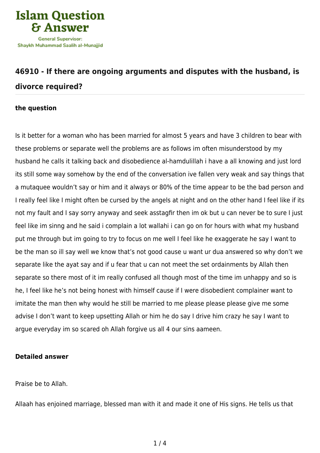

## **[46910 - If there are ongoing arguments and disputes with the husband, is](https://islamqa.com/en/answers/46910/if-there-are-ongoing-arguments-and-disputes-with-the-husband-is-divorce-required) [divorce required?](https://islamqa.com/en/answers/46910/if-there-are-ongoing-arguments-and-disputes-with-the-husband-is-divorce-required)**

## **the question**

Is it better for a woman who has been married for almost 5 years and have 3 children to bear with these problems or separate well the problems are as follows im often misunderstood by my husband he calls it talking back and disobedience al-hamdulillah i have a all knowing and just lord its still some way somehow by the end of the conversation ive fallen very weak and say things that a mutaquee wouldn't say or him and it always or 80% of the time appear to be the bad person and I really feel like I might often be cursed by the angels at night and on the other hand I feel like if its not my fault and I say sorry anyway and seek asstagfir then im ok but u can never be to sure I just feel like im sinng and he said i complain a lot wallahi i can go on for hours with what my husband put me through but im going to try to focus on me well I feel like he exaggerate he say I want to be the man so ill say well we know that's not good cause u want ur dua answered so why don't we separate like the ayat say and if u fear that u can not meet the set ordainments by Allah then separate so there most of it im really confused all though most of the time im unhappy and so is he, I feel like he's not being honest with himself cause if I were disobedient complainer want to imitate the man then why would he still be married to me please please please give me some advise I don't want to keep upsetting Allah or him he do say I drive him crazy he say I want to argue everyday im so scared oh Allah forgive us all 4 our sins aameen.

## **Detailed answer**

Praise be to Allah.

Allaah has enjoined marriage, blessed man with it and made it one of His signs. He tells us that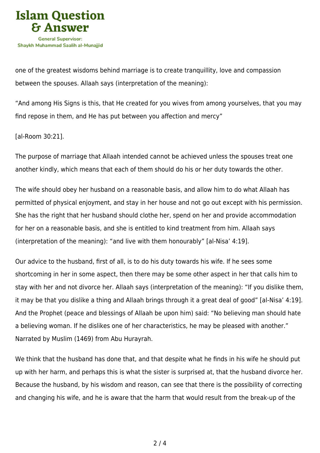

one of the greatest wisdoms behind marriage is to create tranquillity, love and compassion between the spouses. Allaah says (interpretation of the meaning):

"And among His Signs is this, that He created for you wives from among yourselves, that you may find repose in them, and He has put between you affection and mercy"

[al-Room 30:21].

The purpose of marriage that Allaah intended cannot be achieved unless the spouses treat one another kindly, which means that each of them should do his or her duty towards the other.

The wife should obey her husband on a reasonable basis, and allow him to do what Allaah has permitted of physical enjoyment, and stay in her house and not go out except with his permission. She has the right that her husband should clothe her, spend on her and provide accommodation for her on a reasonable basis, and she is entitled to kind treatment from him. Allaah says (interpretation of the meaning): "and live with them honourably" [al-Nisa' 4:19].

Our advice to the husband, first of all, is to do his duty towards his wife. If he sees some shortcoming in her in some aspect, then there may be some other aspect in her that calls him to stay with her and not divorce her. Allaah says (interpretation of the meaning): "If you dislike them, it may be that you dislike a thing and Allaah brings through it a great deal of good" [al-Nisa' 4:19]. And the Prophet (peace and blessings of Allaah be upon him) said: "No believing man should hate a believing woman. If he dislikes one of her characteristics, he may be pleased with another." Narrated by Muslim (1469) from Abu Hurayrah.

We think that the husband has done that, and that despite what he finds in his wife he should put up with her harm, and perhaps this is what the sister is surprised at, that the husband divorce her. Because the husband, by his wisdom and reason, can see that there is the possibility of correcting and changing his wife, and he is aware that the harm that would result from the break-up of the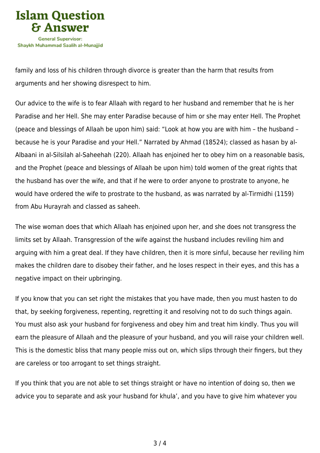

family and loss of his children through divorce is greater than the harm that results from arguments and her showing disrespect to him.

Our advice to the wife is to fear Allaah with regard to her husband and remember that he is her Paradise and her Hell. She may enter Paradise because of him or she may enter Hell. The Prophet (peace and blessings of Allaah be upon him) said: "Look at how you are with him – the husband – because he is your Paradise and your Hell." Narrated by Ahmad (18524); classed as hasan by al-Albaani in al-Silsilah al-Saheehah (220). Allaah has enjoined her to obey him on a reasonable basis, and the Prophet (peace and blessings of Allaah be upon him) told women of the great rights that the husband has over the wife, and that if he were to order anyone to prostrate to anyone, he would have ordered the wife to prostrate to the husband, as was narrated by al-Tirmidhi (1159) from Abu Hurayrah and classed as saheeh.

The wise woman does that which Allaah has enjoined upon her, and she does not transgress the limits set by Allaah. Transgression of the wife against the husband includes reviling him and arguing with him a great deal. If they have children, then it is more sinful, because her reviling him makes the children dare to disobey their father, and he loses respect in their eyes, and this has a negative impact on their upbringing.

If you know that you can set right the mistakes that you have made, then you must hasten to do that, by seeking forgiveness, repenting, regretting it and resolving not to do such things again. You must also ask your husband for forgiveness and obey him and treat him kindly. Thus you will earn the pleasure of Allaah and the pleasure of your husband, and you will raise your children well. This is the domestic bliss that many people miss out on, which slips through their fingers, but they are careless or too arrogant to set things straight.

If you think that you are not able to set things straight or have no intention of doing so, then we advice you to separate and ask your husband for khula', and you have to give him whatever you